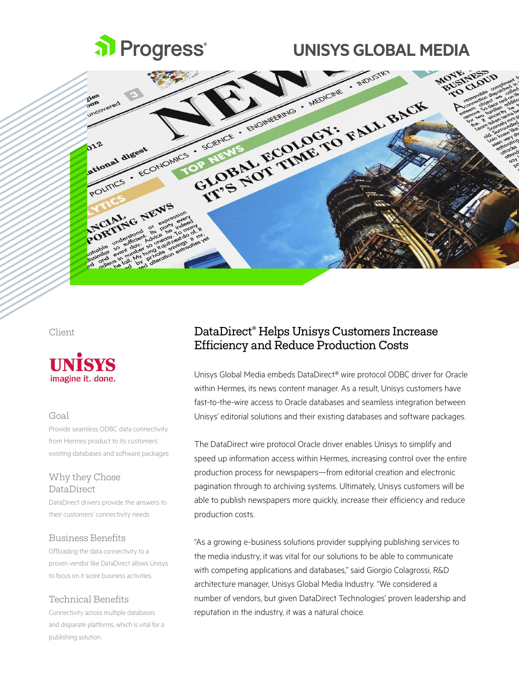

# **UNISYS GLOBAL MEDIA**





#### Goal

Provide seamless ODBC data connectivity from Hermes product to its customers' existing databases and software packages

#### Why they Chose DataDirect

DataDirect drivers provide the answers to their customers' connectivity needs

#### Business Benefits

Offloading the data connectivity to a proven vendor like DataDirect allows Unisys to focus on it score business activities.

#### Technical Benefits

Connectivity across multiple databases and disparate platforms, which is vital for a publishing solution.

## Client DataDirect® Helps Unisys Customers Increase Efficiency and Reduce Production Costs

Unisys Global Media embeds DataDirect® wire protocol ODBC driver for Oracle within Hermes, its news content manager. As a result, Unisys customers have fast-to-the-wire access to Oracle databases and seamless integration between Unisys' editorial solutions and their existing databases and software packages.

The DataDirect wire protocol Oracle driver enables Unisys to simplify and speed up information access within Hermes, increasing control over the entire production process for newspapers—from editorial creation and electronic pagination through to archiving systems. Ultimately, Unisys customers will be able to publish newspapers more quickly, increase their efficiency and reduce production costs.

"As a growing e-business solutions provider supplying publishing services to the media industry, it was vital for our solutions to be able to communicate with competing applications and databases," said Giorgio Colagrossi, R&D architecture manager, Unisys Global Media Industry. "We considered a number of vendors, but given DataDirect Technologies' proven leadership and reputation in the industry, it was a natural choice.